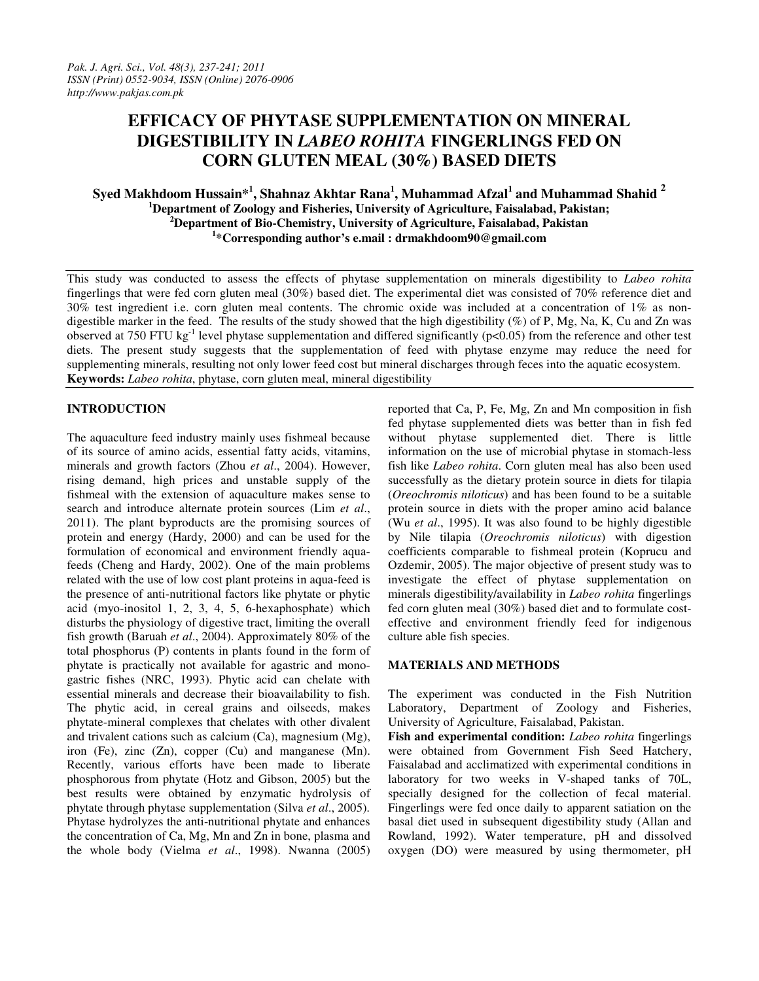# **EFFICACY OF PHYTASE SUPPLEMENTATION ON MINERAL DIGESTIBILITY IN** *LABEO ROHITA* **FINGERLINGS FED ON CORN GLUTEN MEAL (30%) BASED DIETS**

# **Syed Makhdoom Hussain\*<sup>1</sup> , Shahnaz Akhtar Rana<sup>1</sup> , Muhammad Afzal<sup>1</sup> and Muhammad Shahid <sup>2</sup> <sup>1</sup>Department of Zoology and Fisheries, University of Agriculture, Faisalabad, Pakistan; <sup>2</sup>Department of Bio-Chemistry, University of Agriculture, Faisalabad, Pakistan 1 \*Corresponding author's e.mail : drmakhdoom90@gmail.com**

This study was conducted to assess the effects of phytase supplementation on minerals digestibility to *Labeo rohita* fingerlings that were fed corn gluten meal (30%) based diet. The experimental diet was consisted of 70% reference diet and 30% test ingredient i.e. corn gluten meal contents. The chromic oxide was included at a concentration of  $1\%$  as nondigestible marker in the feed. The results of the study showed that the high digestibility (%) of P, Mg, Na, K, Cu and Zn was observed at 750 FTU kg<sup>-1</sup> level phytase supplementation and differed significantly ( $p<0.05$ ) from the reference and other test diets. The present study suggests that the supplementation of feed with phytase enzyme may reduce the need for supplementing minerals, resulting not only lower feed cost but mineral discharges through feces into the aquatic ecosystem. **Keywords:** *Labeo rohita*, phytase, corn gluten meal, mineral digestibility

# **INTRODUCTION**

The aquaculture feed industry mainly uses fishmeal because of its source of amino acids, essential fatty acids, vitamins, minerals and growth factors (Zhou *et al*., 2004). However, rising demand, high prices and unstable supply of the fishmeal with the extension of aquaculture makes sense to search and introduce alternate protein sources (Lim *et al*., 2011). The plant byproducts are the promising sources of protein and energy (Hardy, 2000) and can be used for the formulation of economical and environment friendly aquafeeds (Cheng and Hardy, 2002). One of the main problems related with the use of low cost plant proteins in aqua-feed is the presence of anti-nutritional factors like phytate or phytic acid (myo-inositol 1, 2, 3, 4, 5, 6-hexaphosphate) which disturbs the physiology of digestive tract, limiting the overall fish growth (Baruah *et al*., 2004). Approximately 80% of the total phosphorus (P) contents in plants found in the form of phytate is practically not available for agastric and monogastric fishes (NRC, 1993). Phytic acid can chelate with essential minerals and decrease their bioavailability to fish. The phytic acid, in cereal grains and oilseeds, makes phytate-mineral complexes that chelates with other divalent and trivalent cations such as calcium (Ca), magnesium (Mg), iron (Fe), zinc (Zn), copper (Cu) and manganese (Mn). Recently, various efforts have been made to liberate phosphorous from phytate (Hotz and Gibson, 2005) but the best results were obtained by enzymatic hydrolysis of phytate through phytase supplementation (Silva *et al*., 2005). Phytase hydrolyzes the anti-nutritional phytate and enhances the concentration of Ca, Mg, Mn and Zn in bone, plasma and the whole body (Vielma *et al*., 1998). Nwanna (2005)

reported that Ca, P, Fe, Mg, Zn and Mn composition in fish fed phytase supplemented diets was better than in fish fed without phytase supplemented diet. There is little information on the use of microbial phytase in stomach-less fish like *Labeo rohita*. Corn gluten meal has also been used successfully as the dietary protein source in diets for tilapia (*Oreochromis niloticus*) and has been found to be a suitable protein source in diets with the proper amino acid balance (Wu *et al*., 1995). It was also found to be highly digestible by Nile tilapia (*Oreochromis niloticus*) with digestion coefficients comparable to fishmeal protein (Koprucu and Ozdemir, 2005). The major objective of present study was to investigate the effect of phytase supplementation on minerals digestibility/availability in *Labeo rohita* fingerlings fed corn gluten meal (30%) based diet and to formulate costeffective and environment friendly feed for indigenous culture able fish species.

## **MATERIALS AND METHODS**

The experiment was conducted in the Fish Nutrition Laboratory, Department of Zoology and Fisheries, University of Agriculture, Faisalabad, Pakistan.

**Fish and experimental condition:** *Labeo rohita* fingerlings were obtained from Government Fish Seed Hatchery, Faisalabad and acclimatized with experimental conditions in laboratory for two weeks in V-shaped tanks of 70L, specially designed for the collection of fecal material. Fingerlings were fed once daily to apparent satiation on the basal diet used in subsequent digestibility study (Allan and Rowland, 1992). Water temperature, pH and dissolved oxygen (DO) were measured by using thermometer, pH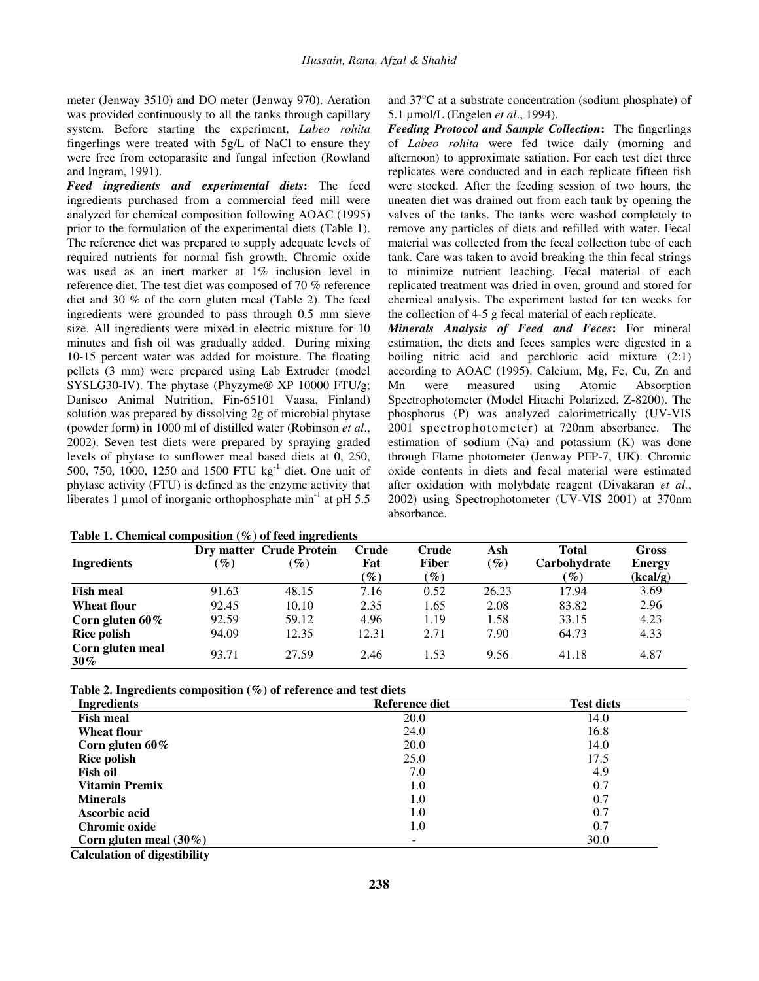meter (Jenway 3510) and DO meter (Jenway 970). Aeration was provided continuously to all the tanks through capillary system. Before starting the experiment, *Labeo rohita* fingerlings were treated with 5g/L of NaCl to ensure they were free from ectoparasite and fungal infection (Rowland and Ingram, 1991).

*Feed ingredients and experimental diets***:** The feed ingredients purchased from a commercial feed mill were analyzed for chemical composition following AOAC (1995) prior to the formulation of the experimental diets (Table 1). The reference diet was prepared to supply adequate levels of required nutrients for normal fish growth. Chromic oxide was used as an inert marker at 1% inclusion level in reference diet. The test diet was composed of 70 % reference diet and 30 % of the corn gluten meal (Table 2). The feed ingredients were grounded to pass through 0.5 mm sieve size. All ingredients were mixed in electric mixture for 10 minutes and fish oil was gradually added. During mixing 10-15 percent water was added for moisture. The floating pellets (3 mm) were prepared using Lab Extruder (model SYSLG30-IV). The phytase (Phyzyme® XP 10000 FTU/g; Danisco Animal Nutrition, Fin-65101 Vaasa, Finland) solution was prepared by dissolving 2g of microbial phytase (powder form) in 1000 ml of distilled water (Robinson *et al*., 2002). Seven test diets were prepared by spraying graded levels of phytase to sunflower meal based diets at 0, 250, 500, 750, 1000, 1250 and 1500 FTU kg<sup>-1</sup> diet. One unit of phytase activity (FTU) is defined as the enzyme activity that liberates 1 µmol of inorganic orthophosphate min<sup>-1</sup> at pH 5.5

|  | Table 1. Chemical composition $(\%)$ of feed ingredients |  |  |  |
|--|----------------------------------------------------------|--|--|--|
|--|----------------------------------------------------------|--|--|--|

and  $37^{\circ}$ C at a substrate concentration (sodium phosphate) of 5.1 µmol/L (Engelen *et al*., 1994).

*Feeding Protocol and Sample Collection***:** The fingerlings of *Labeo rohita* were fed twice daily (morning and afternoon) to approximate satiation. For each test diet three replicates were conducted and in each replicate fifteen fish were stocked. After the feeding session of two hours, the uneaten diet was drained out from each tank by opening the valves of the tanks. The tanks were washed completely to remove any particles of diets and refilled with water. Fecal material was collected from the fecal collection tube of each tank. Care was taken to avoid breaking the thin fecal strings to minimize nutrient leaching. Fecal material of each replicated treatment was dried in oven, ground and stored for chemical analysis. The experiment lasted for ten weeks for the collection of 4-5 g fecal material of each replicate.

*Minerals Analysis of Feed and Feces***:** For mineral estimation, the diets and feces samples were digested in a boiling nitric acid and perchloric acid mixture (2:1) according to AOAC (1995). Calcium, Mg, Fe, Cu, Zn and Mn were measured using Atomic Absorption Spectrophotometer (Model Hitachi Polarized, Z-8200). The phosphorus (P) was analyzed calorimetrically (UV-VIS 2001 spectrophotometer) at 720nm absorbance. The estimation of sodium (Na) and potassium (K) was done through Flame photometer (Jenway PFP-7, UK). Chromic oxide contents in diets and fecal material were estimated after oxidation with molybdate reagent (Divakaran *et al.*, 2002) using Spectrophotometer (UV-VIS 2001) at 370nm absorbance.

|                            |                 | <b>Dry matter Crude Protein</b> | Crude           | Crude           | Ash    | <b>Total</b>    | Gross         |
|----------------------------|-----------------|---------------------------------|-----------------|-----------------|--------|-----------------|---------------|
| <b>Ingredients</b>         | $\mathscr{G}_o$ | $\mathscr{G}_o$                 | Fat             | Fiber           | $(\%)$ | Carbohydrate    | <b>Energy</b> |
|                            |                 |                                 | $\mathscr{G}_o$ | $\mathscr{G}_o$ |        | $\mathscr{G}_o$ | (kcal/g)      |
| <b>Fish meal</b>           | 91.63           | 48.15                           | 7.16            | 0.52            | 26.23  | 17.94           | 3.69          |
| Wheat flour                | 92.45           | 10.10                           | 2.35            | 1.65            | 2.08   | 83.82           | 2.96          |
| Corn gluten $60\%$         | 92.59           | 59.12                           | 4.96            | 1.19            | 1.58   | 33.15           | 4.23          |
| <b>Rice polish</b>         | 94.09           | 12.35                           | 12.31           | 2.71            | 7.90   | 64.73           | 4.33          |
| Corn gluten meal<br>$30\%$ | 93.71           | 27.59                           | 2.46            | 1.53            | 9.56   | 41.18           | 4.87          |

 **Table 2. Ingredients composition (%) of reference and test diets** 

| <b>Ingredients</b>            | Reference diet | <b>Test diets</b> |
|-------------------------------|----------------|-------------------|
| <b>Fish meal</b>              | 20.0           | 14.0              |
| <b>Wheat flour</b>            | 24.0           | 16.8              |
| Corn gluten $60\%$            | 20.0           | 14.0              |
| <b>Rice polish</b>            | 25.0           | 17.5              |
| Fish oil                      | 7.0            | 4.9               |
| <b>Vitamin Premix</b>         | 1.0            | 0.7               |
| <b>Minerals</b>               | 1.0            | 0.7               |
| Ascorbic acid                 | 1.0            | 0.7               |
| Chromic oxide                 | 1.0            | 0.7               |
| Corn gluten meal $(30\%)$     |                | 30.0              |
| Coloriation of discossibility |                |                   |

 **Calculation of digestibility**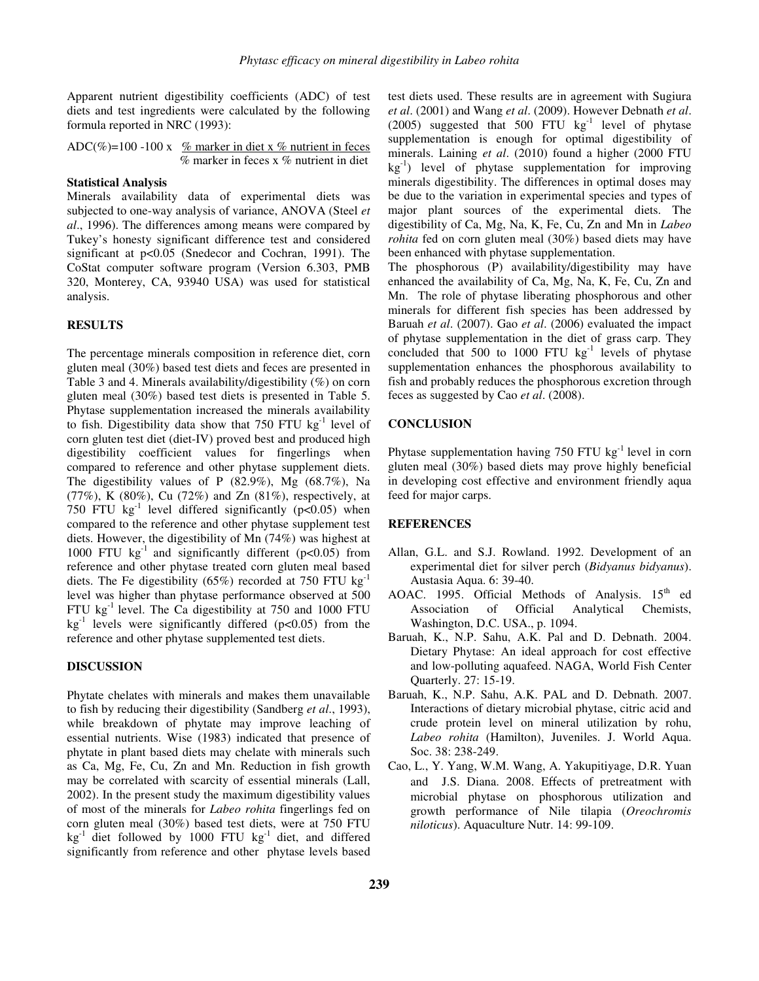Apparent nutrient digestibility coefficients (ADC) of test diets and test ingredients were calculated by the following formula reported in NRC (1993):

ADC(%)=100 -100 x % marker in diet x % nutrient in feces  $\%$  marker in feces x  $\%$  nutrient in diet

## **Statistical Analysis**

Minerals availability data of experimental diets was subjected to one-way analysis of variance, ANOVA (Steel *et al*., 1996). The differences among means were compared by Tukey's honesty significant difference test and considered significant at p<0.05 (Snedecor and Cochran, 1991). The CoStat computer software program (Version 6.303, PMB 320, Monterey, CA, 93940 USA) was used for statistical analysis.

#### **RESULTS**

The percentage minerals composition in reference diet, corn gluten meal (30%) based test diets and feces are presented in Table 3 and 4. Minerals availability/digestibility (%) on corn gluten meal (30%) based test diets is presented in Table 5. Phytase supplementation increased the minerals availability to fish. Digestibility data show that  $750$  FTU kg<sup>-1</sup> level of corn gluten test diet (diet-IV) proved best and produced high digestibility coefficient values for fingerlings when compared to reference and other phytase supplement diets. The digestibility values of P (82.9%), Mg (68.7%), Na (77%), K (80%), Cu (72%) and Zn (81%), respectively, at 750 FTU  $kg^{-1}$  level differed significantly (p<0.05) when compared to the reference and other phytase supplement test diets. However, the digestibility of Mn (74%) was highest at 1000 FTU  $kg^{-1}$  and significantly different (p<0.05) from reference and other phytase treated corn gluten meal based diets. The Fe digestibility (65%) recorded at 750 FTU  $kg^{-1}$ level was higher than phytase performance observed at 500 FTU  $kg^{-1}$  level. The Ca digestibility at 750 and 1000 FTU  $kg<sup>-1</sup>$  levels were significantly differed (p<0.05) from the reference and other phytase supplemented test diets.

### **DISCUSSION**

Phytate chelates with minerals and makes them unavailable to fish by reducing their digestibility (Sandberg *et al*., 1993), while breakdown of phytate may improve leaching of essential nutrients. Wise (1983) indicated that presence of phytate in plant based diets may chelate with minerals such as Ca, Mg, Fe, Cu, Zn and Mn. Reduction in fish growth may be correlated with scarcity of essential minerals (Lall, 2002). In the present study the maximum digestibility values of most of the minerals for *Labeo rohita* fingerlings fed on corn gluten meal (30%) based test diets, were at 750 FTU  $kg<sup>-1</sup>$  diet followed by 1000 FTU kg<sup>-1</sup> diet, and differed significantly from reference and other phytase levels based

test diets used. These results are in agreement with Sugiura *et al*. (2001) and Wang *et al*. (2009). However Debnath *et al*. (2005) suggested that 500 FTU  $kg^{-1}$  level of phytase supplementation is enough for optimal digestibility of minerals. Laining *et al*. (2010) found a higher (2000 FTU kg-1) level of phytase supplementation for improving minerals digestibility. The differences in optimal doses may be due to the variation in experimental species and types of major plant sources of the experimental diets. The digestibility of Ca, Mg, Na, K, Fe, Cu, Zn and Mn in *Labeo rohita* fed on corn gluten meal (30%) based diets may have been enhanced with phytase supplementation.

The phosphorous (P) availability/digestibility may have enhanced the availability of Ca, Mg, Na, K, Fe, Cu, Zn and Mn. The role of phytase liberating phosphorous and other minerals for different fish species has been addressed by Baruah *et al*. (2007). Gao *et al*. (2006) evaluated the impact of phytase supplementation in the diet of grass carp. They concluded that 500 to 1000 FTU kg<sup>-1</sup> levels of phytase supplementation enhances the phosphorous availability to fish and probably reduces the phosphorous excretion through feces as suggested by Cao *et al*. (2008).

### **CONCLUSION**

Phytase supplementation having 750 FTU  $kg^{-1}$  level in corn gluten meal (30%) based diets may prove highly beneficial in developing cost effective and environment friendly aqua feed for major carps.

## **REFERENCES**

- Allan, G.L. and S.J. Rowland. 1992. Development of an experimental diet for silver perch (*Bidyanus bidyanus*). Austasia Aqua. 6: 39-40.
- AOAC. 1995. Official Methods of Analysis.  $15<sup>th</sup>$  ed Association of Official Analytical Chemists, Washington, D.C. USA., p. 1094.
- Baruah, K., N.P. Sahu, A.K. Pal and D. Debnath. 2004. Dietary Phytase: An ideal approach for cost effective and low-polluting aquafeed. NAGA, World Fish Center Quarterly. 27: 15-19.
- Baruah, K., N.P. Sahu, A.K. PAL and D. Debnath. 2007. Interactions of dietary microbial phytase, citric acid and crude protein level on mineral utilization by rohu, *Labeo rohita* (Hamilton), Juveniles. J. World Aqua. Soc. 38: 238-249.
- Cao, L., Y. Yang, W.M. Wang, A. Yakupitiyage, D.R. Yuan and J.S. Diana. 2008. Effects of pretreatment with microbial phytase on phosphorous utilization and growth performance of Nile tilapia (*Oreochromis niloticus*). Aquaculture Nutr. 14: 99-109.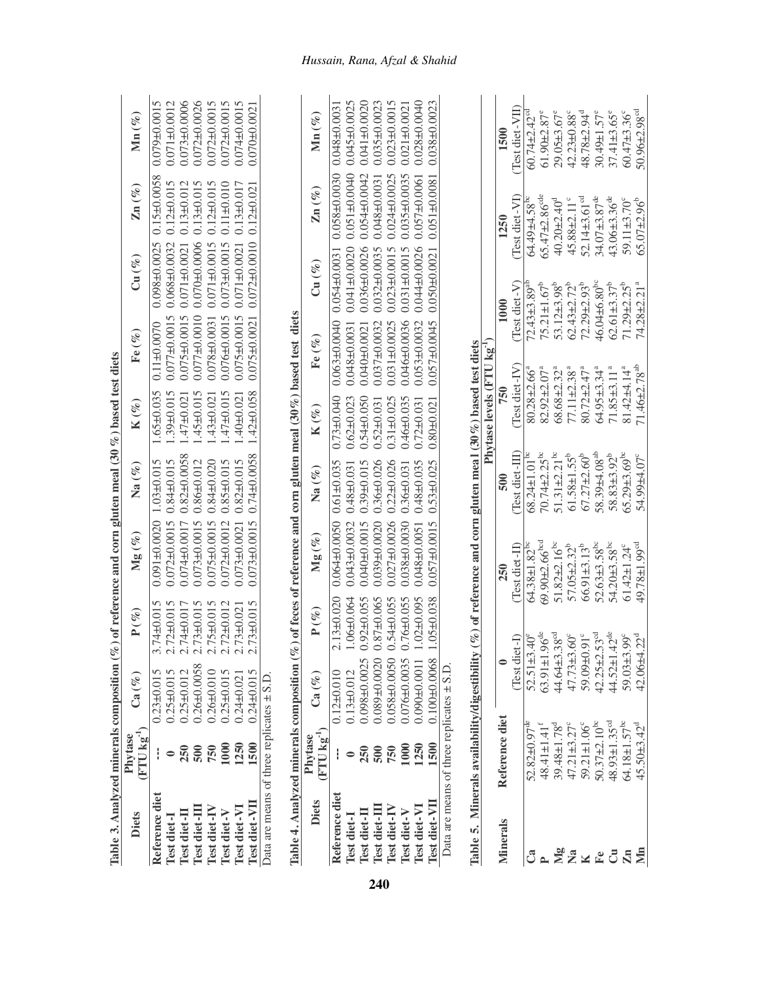| Table 3. Analyzed minerals composition $(\%$   |                                   |                                           |                            | of reference and corn gluten meal $(30\%)$ based test diets          |                     |                                           |                                    |                                                                                                  |                                                         |                         |
|------------------------------------------------|-----------------------------------|-------------------------------------------|----------------------------|----------------------------------------------------------------------|---------------------|-------------------------------------------|------------------------------------|--------------------------------------------------------------------------------------------------|---------------------------------------------------------|-------------------------|
| Diets                                          | $({\rm FTU\,kg^{-1}})$<br>Phytase | $\mathrm{Ca}\left(\mathscr{V}_{o}\right)$ | $P(\%)$                    | ${Mg\left( \frac{{\sigma _b}}{6}\right)}$                            | Na $(\%)$           | $\mathbf{K}\left( \mathscr{V}_{o}\right)$ | Fe $(\%)$                          | $\mathrm{Cu} \left( \mathscr{C}_o \right)$                                                       | $\mathbf{Zn}$ (%)                                       | $\mathrm{Mn}\,(\%)$     |
| Reference diet                                 |                                   | $0.23 + 0.015$                            | $3.74 \pm 0.015$           | $0.091 \pm 0.0020$ 1.03 $\pm 0.015$                                  |                     |                                           | $1.65 \pm 0.035$ 0.11 $\pm$ 0.0070 |                                                                                                  | $0.098 \pm 0.0025$ $0.15 \pm 0.0058$ $0.079 \pm 0.0015$ |                         |
| Test diet-I                                    |                                   | $0.25 \pm 0.015$                          | $2.72\pm0.015$             | $0.072 \pm 0.0015$ 0.84 $\pm 0.015$                                  |                     | $.39 \pm 0.015$                           | $0.077\pm0.0015$                   | $0.068 + 0.0032$                                                                                 | $0.12 \pm 0.015$                                        | $0.071 + 0.0012$        |
| Test diet-II                                   | 250                               | $0.25 \pm 0.012$                          | 2.74±0.017                 | $0.074 \pm 0.0017$ 0.82±0.0058                                       |                     | $.47 + 0.021$                             | $0.075 \pm 0.0015$                 | $0.071 + 0.0021$                                                                                 | $0.13 \pm 0.012$                                        | $0.073 + 0.0006$        |
| Test diet-II                                   | $\overline{500}$                  | $0.26 + 0.0058$                           | $2.73 \pm 0.015$           | $0.073 \pm 0.0015$                                                   | $0.86 + 0.012$      | $.45 \pm 0.015$                           | $0.077 + 0.0010$                   | $0.070 + 0.0006$                                                                                 | $0.13 \pm 0.015$                                        | $0.072 + 0.0026$        |
| Test diet-IV                                   | 750                               | $0.26 + 0.010$                            | $5+0.015$<br>$\frac{1}{2}$ | $0.075 \pm 0.0015$                                                   | $0.84 + 0.020$      | $.43\pm0.021$                             | $0.078 + 0.0031$                   | $0.071 + 0.0015$                                                                                 | $0.12 \pm 0.015$                                        | $0.072 + 0.0015$        |
| Test diet-V                                    | 1000                              | $0.25 \pm 0.015$                          | $2.72\pm0.012$             | $0.072 + 0.0012$                                                     | $0.85 + 0.015$      | $-47±0.015$                               | $0.076 \pm 0.0015$                 | $0.073 + 0.0015$                                                                                 | $0.11 \pm 0.010$                                        | $0.072\pm0.0015$        |
| Test diet-VI                                   | 1250                              | $0.24 + 0.021$                            | $2.73\pm0.021$             | $0.073 \pm 0.0021$                                                   | $0.82 + 0.015$      | $.40 \pm 0.021$                           | $0.075 \pm 0.0015$                 | $0.071 + 0.0021$                                                                                 | $0.13 \pm 0.017$                                        | 0.074 <sub>0.0015</sub> |
| Test diet-VII                                  | 1500                              | $0.24 \pm 0.015$                          | $2.73 + 0.015$             | $0.073 \pm 0.0015$ 0.74 $\pm 0.0058$                                 |                     | $1.42 \pm 0.058$                          |                                    | $0.075 \pm 0.0021$ $0.072 \pm 0.0010$ $0.12 \pm 0.021$                                           |                                                         | $0.070 + 0.0021$        |
| Data are means of three replicates $\pm$ S.D   |                                   |                                           |                            |                                                                      |                     |                                           |                                    |                                                                                                  |                                                         |                         |
| Table 4. Analyzed minerals composition $(\%$ ) |                                   |                                           |                            | of feces of reference and corn gluten meal $(30\%)$ based test diets |                     |                                           |                                    |                                                                                                  |                                                         |                         |
| <b>Diets</b>                                   | $({\rm FTU\,kg}^{-1})$<br>Phytase | $\mathrm{Ca}\left(\mathscr{V}_{o}\right)$ | $\mathbf{P}(\%)$           | ${Mg\left( \frac{{\sigma _\theta }}{6}\right)}$                      | $\mathrm{Na}\,(\%)$ | $\mathbf{K}\left( \mathscr{V}_{e}\right)$ | $\mathrm{Fe}~(\%)$                 | $\mathrm{Cu} \left( \begin{smallmatrix} \varnothing_0 \ \varnothing_0 \end{smallmatrix} \right)$ | $\mathbf{Zn}\left( \mathscr{U}_{e}\right)$              | $\mathrm{Mn}\,(\%)$     |
| Reference diet                                 |                                   | $0.12 \pm 0.010$                          | $.13 + 0.020$              | $0.064\pm0.0050$ 0.61 $\pm0.035$                                     |                     | $0.73 + 0.040$                            | $0.063 \pm 0.0040$ 0.054±0.0031    |                                                                                                  | $0.058 + 0.0030$                                        | $0.048 + 0.0031$        |
| Test diet-l                                    |                                   | $0.13 \pm 0.012$                          | $.06 + 0.064$              | $0.043 + 0.0032$                                                     | $0.48 + 0.031$      | $0.62 + 0.023$                            | $0.048 + 0.0031$                   | $0.041 + 0.0020$                                                                                 | $0.051 \pm 0.0040$                                      | $0.045 + 0.0025$        |
| Test diet-II                                   | 250                               | 0.098±0.0025                              | $0.92 + 0.055$             | $0.040 \pm 0.0015$                                                   | $0.39 + 0.015$      | $0.54 + 0.050$                            | $0.040 + 0.0021$                   | $0.036 + 0.0026$                                                                                 | $0.054 \pm 0.0042$                                      | $0.041 + 0.0020$        |
| Test diet-II                                   | 500                               | 0.089±0.0020                              | 87±0.065                   | $0.039 + 0.0020$                                                     | $0.36 + 0.026$      | $0.52 + 0.031$                            | $0.037 + 0.0032$                   | $0.032 \pm 0.0035$                                                                               | $0.048 + 0.0031$                                        | $0.035 \pm 0.0023$      |
| Test diet-IV                                   | 750                               | $0.058 \pm 0.0050$                        | $0.54 \pm 0.055$           | $0.027 \pm 0.0026$ 0.22±0.026                                        |                     | $0.31 + 0.025$                            | $0.031 \pm 0.0025$                 | $0.023 + 0.0015$                                                                                 | $0.024 \pm 0.0025$                                      | $0.023 + 0.0015$        |
| Test diet-V                                    | 1000                              | 0.076±0.0035                              | $0.76 + 0.055$             | $0.038 + 0.0030$                                                     | $0.36 + 0.031$      | $0.46 + 0.035$                            |                                    | $0.046 \pm 0.0036$ 0.031±0.0015                                                                  | $0.035 \pm 0.0035$                                      | $0.021 \pm 0.0021$      |
| Test diet-VI                                   | 1250                              |                                           | $.02 + 0.095$              | $0.048 + 0.0051$                                                     | $0.48 + 0.035$      | $0.72 + 0.031$                            | $0.053 \pm 0.0032$                 | $0.044\pm0.0026$                                                                                 | $0.057 \pm 0.0061$                                      | $0.028 + 0.0040$        |
| Test diet-VII                                  | 1500                              | $0.100 + 0.0068$                          | $.05 + 0.038$              | $0.057\pm0.0015$ 0.53 $\pm0.025$                                     |                     | $0.80 + 0.021$                            |                                    | $0.057 \pm 0.0045$ 0.050 $\pm 0.0021$                                                            | $0.051 \pm 0.0081$                                      | $0.038 + 0.0023$        |
| Data are means of three replicates $\pm$ S.D   |                                   |                                           |                            |                                                                      |                     |                                           |                                    |                                                                                                  |                                                         |                         |

| i                                                                                                        |  |
|----------------------------------------------------------------------------------------------------------|--|
|                                                                                                          |  |
|                                                                                                          |  |
|                                                                                                          |  |
|                                                                                                          |  |
| i                                                                                                        |  |
|                                                                                                          |  |
| くろく                                                                                                      |  |
|                                                                                                          |  |
| <b>،</b>                                                                                                 |  |
| Ì                                                                                                        |  |
| $\ddot{ }$<br><br>֧֧֧ׅ֧֧֦֧ׅ֧ׅ֧ׅ֧ׅ֧ׅ֧ׅ֧֛֚֚֚֚֚֚֚֚֚֚֚֚֚֚֚֚֚֚֚֚֚֡֝֝֓֜֝֬֝֟֓֡֜֜֜֜֜֜<br>֧֧֧֧֧֚֚֚֚֚֚֚֚֚֚֚֚֚֝֘֝֘֩ |  |
|                                                                                                          |  |
|                                                                                                          |  |

|                         | Table 5. Minerals availability/digestibility ( |                                                            | $\%$ ) of reference and corn gluten mea l (30%) based test diets |                                |                                        |                                |                                |                                |
|-------------------------|------------------------------------------------|------------------------------------------------------------|------------------------------------------------------------------|--------------------------------|----------------------------------------|--------------------------------|--------------------------------|--------------------------------|
|                         |                                                |                                                            |                                                                  |                                | Phytase levels (FTU kg <sup>-1</sup> ) |                                |                                |                                |
| <b>Minerals</b>         | Reference diet                                 |                                                            | 250                                                              |                                | 750                                    | 1000                           | 1250                           | 1500                           |
|                         |                                                | (Test diet-I)                                              | (Test diet-II)                                                   | Test diet-III                  | Test diet-IV)                          | Test diet- $V$ )               | Test diet-VI)                  | Test diet-VII)                 |
|                         | $52.82 \pm 0.97$ <sup>de</sup>                 | $52.51 \pm 3.40^{\circ}$                                   | $64.38 \pm 1.82^{b}$                                             | $68.24 \pm 1.01^{\rm br}$      | $30.28 + 2.66^a$                       | $72.43\pm3.89$ <sup>a</sup>    | 64.49±4.58 <sup>bc</sup>       | $60.74 + 2.42$ <sup>cd</sup>   |
|                         | $48.41 \pm 1.41$ <sup>t</sup>                  | $63.91 \pm 1.96$ <sup>de</sup><br>44.64±3.38 <sup>cd</sup> | 69.90±2.66 <sup>bcd</sup>                                        | $70.74 \pm 2.25$ <sup>bc</sup> | 82.92±2.07 <sup>a</sup>                | $75.21 \pm 1.67^b$             | $65.47 \pm 2.86$ <sup>cd</sup> | 51.90±2.87°                    |
| $\mathbb{N}$ g          | $39.48 \pm 1.78$ <sup>d</sup>                  |                                                            | $51.82 \pm 2.16$ <sup>bc</sup>                                   | $51.31 \pm 2.21$ <sup>bc</sup> | $68.68 \pm 2.32$ <sup>a</sup>          | $53.12\pm3.98^{\circ}$         | $40.20 + 2.40d$                | $29.05\pm3.67^{\circ}$         |
|                         | $47.21 \pm 3.27^{\circ}$                       | $47.73 \pm 3.60^{\circ}$                                   | $57.05 \pm 2.32^b$                                               | $61.58 \pm 1.55^{\circ}$       | $7.11 \pm 2.38$ <sup>a</sup>           | $62.43 \pm 2.72$ <sup>b</sup>  | $45.88 \pm 2.11$               | $42.23 \pm 0.88$               |
|                         | 59.21±1.06°                                    | 59.09±0.91°                                                | $66.91\pm3.13^{b}$                                               | $67.27 \pm 2.60^{\circ}$       | $30.72 + 2.47^a$                       | $72.29 \pm 2.93^b$             | $52.14\pm3.61$ <sup>cc</sup>   | 48.78±2.94 <sup>d</sup>        |
|                         | $50.37 + 2.10^{bc}$                            | $42.25 \pm 2.53$ <sup>cd</sup><br>44.52±1.42 <sup>de</sup> | $52.63{\pm}3.58^{bc}$                                            | $58.39 \pm 4.08$ <sup>ab</sup> | $64.95 \pm 3.34$ <sup>a</sup>          | 46.04 $\pm$ 6.80 <sup>bc</sup> | $34.07 \pm 3.87$ <sup>de</sup> | $30.49 \pm 1.57$ <sup>e</sup>  |
|                         | $48.93 \pm 1.35$ <sup>cd</sup>                 |                                                            | 54.20 $\pm$ 3.58 <sup>bc</sup>                                   | $58.83\pm3.92^{b}$             | $1.85 \pm 3.11$ <sup>a</sup>           | $62.61\pm3.37^b$               | $43.06 \pm 3.36$ <sup>de</sup> | $37.41 \pm 3.65$ <sup>e</sup>  |
| $\overline{\mathbf{L}}$ | 64.18±1.57 <sup>bc</sup>                       | 59.03±3.99°                                                | $61.42 \pm 1.24$ <sup>c</sup>                                    | $65.29 \pm 3.69$ <sup>bc</sup> | 81.42±4.14 <sup>ª</sup>                | $71.29 + 2.25^{b}$             | 59.11±3.70°                    | $60.47\pm3.36^{\circ}$         |
| Мn                      | $45.50 \pm 3.42$ <sup>d</sup>                  | $42.06 + 4.22^d$                                           | 49.78±1.99 <sup>cd</sup>                                         | 24.99±4.07°                    | 71.46±2.78 <sup>ab</sup>               | 74.28±2.21 <sup>a</sup>        | $65.07 \pm 2.96^{\circ}$       | $50.96 \pm 2.98$ <sup>cd</sup> |

**240**